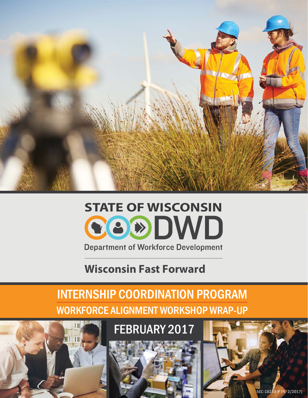

## **STATE OF WISCONSIN**COODWD **Department of Workforce Development**

### **Wisconsin Fast Forward**

### INTERNSHIP COORDINATION PROGRAM WORKFORCE ALIGNMENT WORKSHOP WRAP-UP

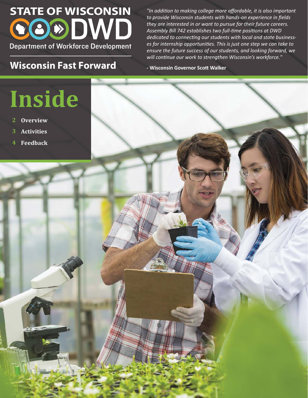## **STATE OF WISCONSIN** CO®DWD **Department of Workforce Development**

### **Wisconsin Fast Forward CO**<br>**Resp. EXPLOSIONS** FOR EXPENSION FOR Malker

*"In addiƟon to making college more affordable, it is also important to provide Wisconsin students with hands-on experience in fields they are interested in or want to pursue for their future careers. Assembly Bill 742 establishes two full-Ɵme posiƟons at DWD*  dedicated to connecting our students with local and state business*es for internship opportuniƟes. This is just one step we can take to ensure the future success of our students, and looking forward, we will conƟnue our work to strengthen Wisconsin's workforce."*

# **Inside**

- **2 Overview**
- **3 Activities**
- **4 Feedback**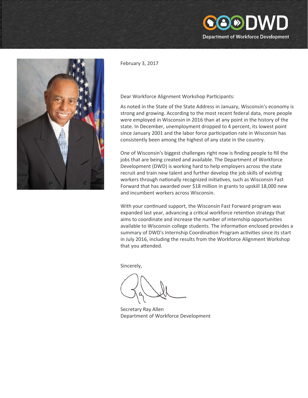

February 3, 2017

#### Dear Workforce Alignment Workshop Participants:

As noted in the State of the State Address in January, Wisconsin's economy is strong and growing. According to the most recent federal data, more people were employed in Wisconsin in 2016 than at any point in the history of the state. In December, unemployment dropped to 4 percent, its lowest point since January 2001 and the labor force participation rate in Wisconsin has consistently been among the highest of any state in the country.

8DDI

**Department of Workforce Development** 

One of Wisconsin's biggest challenges right now is finding people to fill the jobs that are being created and available. The Department of Workforce Development (DWD) is working hard to help employers across the state recruit and train new talent and further develop the job skills of existing workers through nationally recognized initiatives, such as Wisconsin Fast Forward that has awarded over \$18 million in grants to upskill 18,000 new and incumbent workers across Wisconsin.

With your continued support, the Wisconsin Fast Forward program was expanded last year, advancing a critical workforce retention strategy that aims to coordinate and increase the number of internship opportunities available to Wisconsin college students. The information enclosed provides a summary of DWD's Internship Coordination Program activities since its start in July 2016, including the results from the Workforce Alignment Workshop that you attended.

Sincerely,

Secretary Ray Allen Department of Workforce Development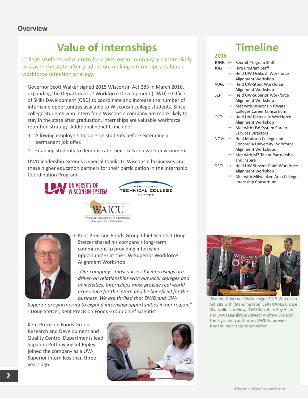### **Value of Internships Timeline**

College students who intern for a Wisconsin company are more likely to stay in the state after graduation, making internships a valuable workforce retention strategy.

Governor ScoƩ Walker signed 2015 Wisconsin Act 283 in March 2016, expanding the Department of Workforce Development (DWD) – Office of Skills Development (OSD) to coordinate and increase the number of internship opportunities available to Wisconsin college students. Since college students who intern for a Wisconsin company are more likely to stay in the state after graduation, internships are valuable workforce retention strategy. Additional benefits include:

1. Allowing employers to observe students before extending a permanent job offer.

**AN UNIVERSITY OF WISCONSIN SYSTEM** 

2. Enabling students to demonstrate their skills in a work environment

DWD leadership extends a special thanks to Wisconsin businesses and these higher education partners for their participation in the Internship Coordination Program:

> **WISCONSIN ASSOCIATION OF INDEPENDENT COLLEGES AND UNIVERSITIES**



Kent Precision Foods Group Chief Scientist Doug Stetzer shared his company's long-term commitment to providing internship opportunities at the UW-Superior Workforce Alignment Workshop.

WISCONSIN TECHNICAL COLLEGE SYSTEM

*"Our company's most successful internships are driven on relaƟonships with our local colleges and universiƟes. Internships must provide real world experience for the intern and be beneficial for the business. We are thrilled that DWD and UW-*

*Superior are partnering to expand internship opportunities in our region.*" - Doug Stetzer, Kent Precision Foods Group Chief Scientist

Kent Precision Foods Group Research and Development and Quality Control Departments lead Sapanna Putthayangkul-Ripley joined the company as a UW-Superior intern less than three years ago.



| 2016                |               |                                               |
|---------------------|---------------|-----------------------------------------------|
| JUNE: $\rightarrow$ |               | Recruit Program Staff                         |
| JULY: $\rightarrow$ |               | Hire Program Staff                            |
|                     | $\rightarrow$ | Held UW-Oshkosh Workforce                     |
|                     |               | Alignment Workshop                            |
| AUG:                | $\rightarrow$ | <b>Held UW-Stout Workforce</b>                |
|                     |               | Alignment Workshop                            |
| SEP:                | $\rightarrow$ | <b>Held UW-Superior Workforce</b>             |
|                     |               | Alignment Workshop                            |
|                     | $\rightarrow$ | Met with Wisconsin Private                    |
|                     |               | <b>Colleges Career Consortium</b>             |
| OCT:                | $\rightarrow$ | Held UW-Platteville Workforce                 |
|                     |               | Alignment Workshop                            |
|                     | $\rightarrow$ | Met with UW System Career                     |
|                     |               | <b>Services Directors</b>                     |
| NOV:                |               | $\rightarrow$ Held Madison College and        |
|                     |               | Concordia University Workforce                |
|                     |               | <b>Alignment Workshops</b>                    |
|                     | $\rightarrow$ | Met with M7 Talent Partnership                |
|                     |               | and Inspire                                   |
| DEC:                |               | $\rightarrow$ Held UW-Stevens Point Workforce |
|                     |               | Alignment Workshop                            |

Met with Milwaukee Area College Internship Consortium  $\rightarrow$ 



(Seated) Governor Walker signs 2015 Wisconsin Act 283 with (Standing From Left) UW-La Crosse Chancellor Joe Gow, DWD Secretary Ray Allen and DWD Legislative Advisor Andrew Evenson. The legislation authorizes DWD to provide student internship coordination.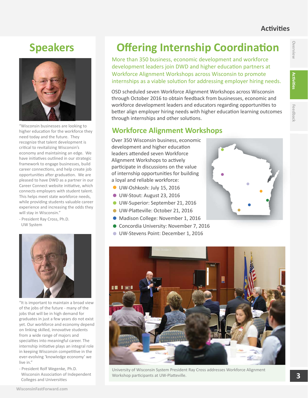#### **AcƟviƟes**

### **Overview Werview**

### **Speakers**



"Wisconsin businesses are looking to higher education for the workforce they need today and the future. They recognize that talent development is critical to revitalizing Wisconsin's economy and maintaining an edge. We have initiatives outlined in our strategic framework to engage businesses, build career connections, and help create job opportunities after graduation. We are pleased to have DWD as a partner in our Career Connect website initiative, which connects employers with student talent. This helps meet state workforce needs, while providing students valuable career experience and increasing the odds they will stay in Wisconsin."

- President Ray Cross, Ph.D. UW System



"It is important to maintain a broad view of the jobs of the future - many of the jobs that will be in high demand for graduates in just a few years do not exist yet. Our workforce and economy depend on linking skilled, innovative students from a wide range of majors and specialties into meaningful career. The internship initiative plays an integral role in keeping Wisconsin competitive in the ever-evolving 'knowledge economy' we live in"

- President Rolf Wegenke, Ph.D. Wisconsin Association of Independent Colleges and Universities

### **Offering Internship Coordination**

More than 350 business, economic development and workforce development leaders join DWD and higher education partners at Workforce Alignment Workshops across Wisconsin to promote internships as a viable solution for addressing employer hiring needs.

OSD scheduled seven Workforce Alignment Workshops across Wisconsin through October 2016 to obtain feedback from businesses, economic and workforce development leaders and educators regarding opportunities to better align employer hiring needs with higher education learning outcomes through internships and other solutions.

Over 350 Wisconsin business, economic<br>development and higher education<br>leaders attended seven Workforce<br>Alignment Workshops to actively<br>participate in discussions on the value<br>of internship opportunities for building development and higher education leaders attended seven Workforce Alignment Workshops to actively participate in discussions on the value of internship opportunities for building a loyal and reliable workforce: **Workforce Alignment Workshops**<br>
Over 350 Wisconsin business, economic<br>
development and higher education<br>
leaders attended seven Workforce<br>
Alignment Workshops to actively<br>
participate in discussions on the value<br>
of inter

- UW-Oshkosh: July 15, 2016
- UW-Stout: August 23, 2016
- UW-Superior: September 21, 2016
- UW-Platteville: October 21, 2016
- Madison College: November 1, 2016
- Concordia University: November 7, 2016
- UW-Stevens Point: December 1, 2016





University of Wisconsin System President Ray Cross addresses Workforce Alignment Workshop participants at UW-Platteville.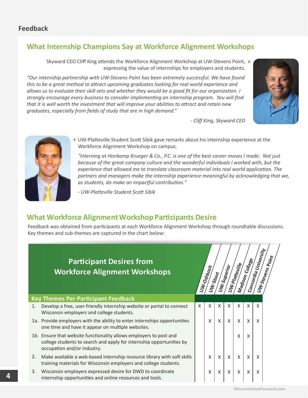### **What Internship Champions Say at Workforce Alignment Workshops**

Skyward CEO Cliff King attends the Workforce Alignment Workshop at UW-Stevens Point, ▶ expressing the value of internships for employers and students.

*"Our internship partnership with UW-Stevens Point has been extremely successful. We have found this to be a great method to aƩract upcoming graduates looking for real world experience and allows us to evaluate their skill sets and whether they would be a good fit for our organizaƟon. I strongly encourage every business to consider implemenƟng an internship program. You will find that it is well worth the investment that will improve your abiliƟes to aƩract and retain new graduates, especially from fields of study that are in high demand."* 



*- Cliff King, Skyward CEO* 



UW-Platteville Student Scott Sibik gave remarks about his internship experience at the Workforce Alignment Workshop on campus.

*"Interning at Honkamp Krueger & Co., P.C. is one of the best career moves I made. Not just because of the great company culture and the wonderful individuals I worked with, but the experience that allowed me to translate classroom material into real world application. The* partners and managers make the internship experience meaningful by acknowledging that we, *as students, do make an impacƞul contribuƟon."* 

*- UW-PlaƩeville Student ScoƩ Sibik* 

#### **What Workforce Alignment Workshop Participants Desire**

Feedback was obtained from participants at each Workforce Alignment Workshop through roundtable discussions. Key themes and sub-themes are captured in the chart below:

#### **Participant Desires from Workforce Alignment Workshops Key Themes Per ParƟcipant Feedback** 1. Develop a free, user-friendly internship website or portal to connect Wisconsin employers and college students. 1a. Provide employers with the ability to enter internships opportunities one time and have it appear on multiple websites. 1b. Ensure that website functionality allows employers to post and college students to search and apply for internship opportunities by occupation and/or industry. 2. Make available a web-based internship resource library with soft skills training materials for Wisconsin employers and college students.  $X$   $\mid$   $X$   $\mid$   $X$   $\mid$   $X$   $\mid$   $X$   $\mid$   $X$   $\mid$   $X$  $X$   $\mid$   $X$   $\mid$   $X$   $\mid$   $X$   $\mid$   $X$   $\mid$   $X$ XXXXX  $x \mid x$ X **UW-Oshkosh UW-Stout UW-Superior UW-PlaƩeville Madison College Concordia University UW-Stevens Point**

Wisconsin employers expressed desire for DWD to coordinate 3. internship opportunities and online resources and tools.

 $X$   $\mid$   $X$   $\mid$   $X$   $\mid$   $X$   $\mid$   $X$   $\mid$   $X$